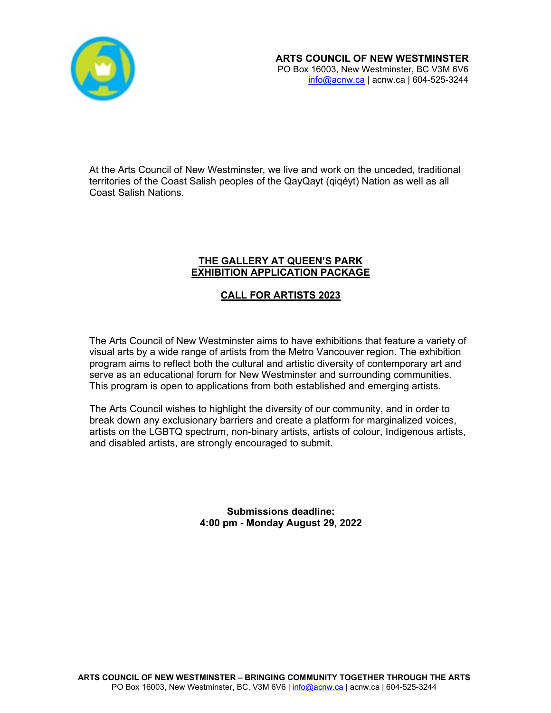

At the Arts Council of New Westminster, we live and work on the unceded, traditional territories of the Coast Salish peoples of the QayQayt (qiqéyt) Nation as well as all Coast Salish Nations.

# **THE GALLERY AT QUEEN'S PARK EXHIBITION APPLICATION PACKAGE**

# **CALL FOR ARTISTS 2023**

The Arts Council of New Westminster aims to have exhibitions that feature a variety of visual arts by a wide range of artists from the Metro Vancouver region. The exhibition program aims to reflect both the cultural and artistic diversity of contemporary art and serve as an educational forum for New Westminster and surrounding communities. This program is open to applications from both established and emerging artists.

The Arts Council wishes to highlight the diversity of our community, and in order to break down any exclusionary barriers and create a platform for marginalized voices, artists on the LGBTQ spectrum, non-binary artists, artists of colour, Indigenous artists, and disabled artists, are strongly encouraged to submit.

> **Submissions deadline: 4:00 pm - Monday August 29, 2022**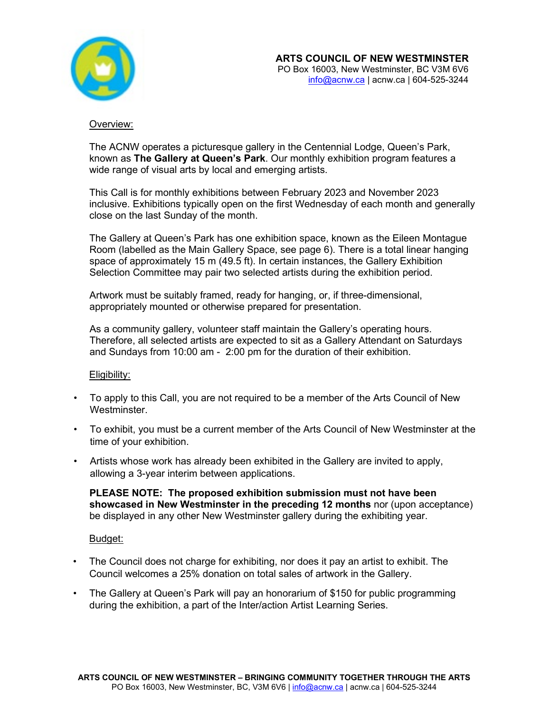

# Overview:

The ACNW operates a picturesque gallery in the Centennial Lodge, Queen's Park, known as **The Gallery at Queen's Park**. Our monthly exhibition program features a wide range of visual arts by local and emerging artists.

This Call is for monthly exhibitions between February 2023 and November 2023 inclusive. Exhibitions typically open on the first Wednesday of each month and generally close on the last Sunday of the month.

The Gallery at Queen's Park has one exhibition space, known as the Eileen Montague Room (labelled as the Main Gallery Space, see page 6). There is a total linear hanging space of approximately 15 m (49.5 ft). In certain instances, the Gallery Exhibition Selection Committee may pair two selected artists during the exhibition period.

Artwork must be suitably framed, ready for hanging, or, if three-dimensional, appropriately mounted or otherwise prepared for presentation.

As a community gallery, volunteer staff maintain the Gallery's operating hours. Therefore, all selected artists are expected to sit as a Gallery Attendant on Saturdays and Sundays from 10:00 am - 2:00 pm for the duration of their exhibition.

# Eligibility:

- To apply to this Call, you are not required to be a member of the Arts Council of New Westminster.
- To exhibit, you must be a current member of the Arts Council of New Westminster at the time of your exhibition.
- Artists whose work has already been exhibited in the Gallery are invited to apply, allowing a 3-year interim between applications.

**PLEASE NOTE: The proposed exhibition submission must not have been showcased in New Westminster in the preceding 12 months** nor (upon acceptance) be displayed in any other New Westminster gallery during the exhibiting year.

# Budget:

- The Council does not charge for exhibiting, nor does it pay an artist to exhibit. The Council welcomes a 25% donation on total sales of artwork in the Gallery.
- The Gallery at Queen's Park will pay an honorarium of \$150 for public programming during the exhibition, a part of the Inter/action Artist Learning Series.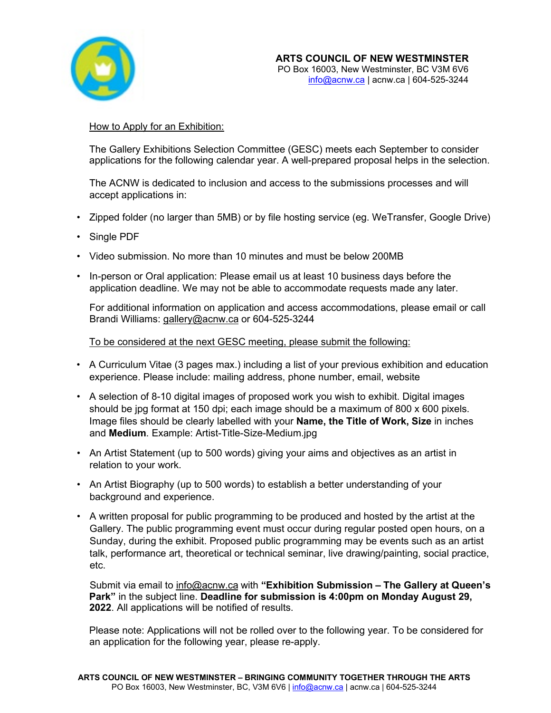

# How to Apply for an Exhibition:

The Gallery Exhibitions Selection Committee (GESC) meets each September to consider applications for the following calendar year. A well-prepared proposal helps in the selection.

The ACNW is dedicated to inclusion and access to the submissions processes and will accept applications in:

- Zipped folder (no larger than 5MB) or by file hosting service (eg. WeTransfer, Google Drive)
- Single PDF
- Video submission. No more than 10 minutes and must be below 200MB
- In-person or Oral application: Please email us at least 10 business days before the application deadline. We may not be able to accommodate requests made any later.

For additional information on application and access accommodations, please email or call Brandi Williams: [gallery@acnw.ca](mailto:gallery@acnw.ca) or 604-525-3244

# To be considered at the next GESC meeting, please submit the following:

- A Curriculum Vitae (3 pages max.) including a list of your previous exhibition and education experience. Please include: mailing address, phone number, email, website
- A selection of 8-10 digital images of proposed work you wish to exhibit. Digital images should be jpg format at 150 dpi; each image should be a maximum of 800 x 600 pixels. Image files should be clearly labelled with your **Name, the Title of Work, Size** in inches and **Medium**. Example: Artist-Title-Size-Medium.jpg
- An Artist Statement (up to 500 words) giving your aims and objectives as an artist in relation to your work.
- An Artist Biography (up to 500 words) to establish a better understanding of your background and experience.
- A written proposal for public programming to be produced and hosted by the artist at the Gallery. The public programming event must occur during regular posted open hours, on a Sunday, during the exhibit. Proposed public programming may be events such as an artist talk, performance art, theoretical or technical seminar, live drawing/painting, social practice, etc.

Submit via email to [info@acnw.ca](mailto:info@acnw.ca) with **"Exhibition Submission – The Gallery at Queen's Park"** in the subject line. **Deadline for submission is 4:00pm on Monday August 29, 2022**. All applications will be notified of results.

Please note: Applications will not be rolled over to the following year. To be considered for an application for the following year, please re-apply.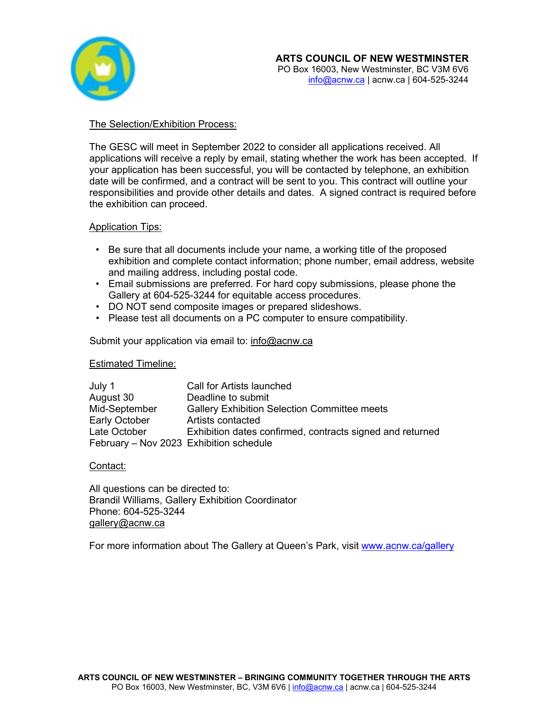

# The Selection/Exhibition Process:

The GESC will meet in September 2022 to consider all applications received. All applications will receive a reply by email, stating whether the work has been accepted. If your application has been successful, you will be contacted by telephone, an exhibition date will be confirmed, and a contract will be sent to you. This contract will outline your responsibilities and provide other details and dates. A signed contract is required before the exhibition can proceed.

# Application Tips:

- Be sure that all documents include your name, a working title of the proposed exhibition and complete contact information; phone number, email address, website and mailing address, including postal code.
- Email submissions are preferred. For hard copy submissions, please phone the Gallery at 604-525-3244 for equitable access procedures.
- DO NOT send composite images or prepared slideshows.
- Please test all documents on a PC computer to ensure compatibility.

# Submit your application via email to: [info@acnw.ca](mailto:info@acnw.ca)

# Estimated Timeline:

| July 1                                  | Call for Artists launched                                 |
|-----------------------------------------|-----------------------------------------------------------|
| August 30                               | Deadline to submit                                        |
| Mid-September                           | <b>Gallery Exhibition Selection Committee meets</b>       |
| Early October                           | Artists contacted                                         |
| Late October                            | Exhibition dates confirmed, contracts signed and returned |
| February - Nov 2023 Exhibition schedule |                                                           |

# Contact:

All questions can be directed to: Brandil Williams, Gallery Exhibition Coordinator Phone: 604-525-3244 [gallery@acnw.ca](mailto:gallery@acnw.ca)

For more information about The Gallery at Queen's Park, visit [www.acnw.ca/gallery](http://www.acnw.ca/gallery)